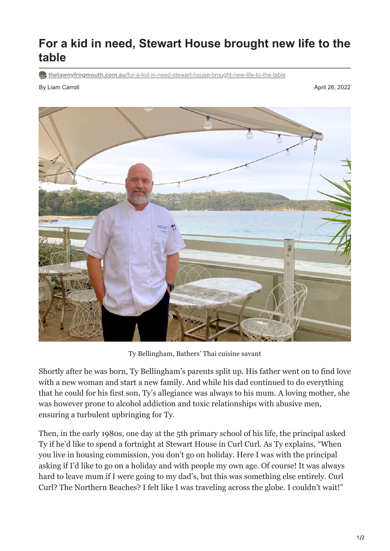## **For a kid in need, Stewart House brought new life to the table**

**thetawnyfrogmouth.com.au[/for-a-kid-in-need-stewart-house-brought-new-life-to-the-table](https://thetawnyfrogmouth.com.au/for-a-kid-in-need-stewart-house-brought-new-life-to-the-table/)** 

By Liam Carroll April 26, 2022



Ty Bellingham, Bathers' Thai cuisine savant

Shortly after he was born, Ty Bellingham's parents split up. His father went on to find love with a new woman and start a new family. And while his dad continued to do everything that he could for his first son, Ty's allegiance was always to his mum. A loving mother, she was however prone to alcohol addiction and toxic relationships with abusive men, ensuring a turbulent upbringing for Ty.

Then, in the early 1980s, one day at the 5th primary school of his life, the principal asked Ty if he'd like to spend a fortnight at Stewart House in Curl Curl. As Ty explains, "When you live in housing commission, you don't go on holiday. Here I was with the principal asking if I'd like to go on a holiday and with people my own age. Of course! It was always hard to leave mum if I were going to my dad's, but this was something else entirely. Curl Curl? The Northern Beaches? I felt like I was traveling across the globe. I couldn't wait!"